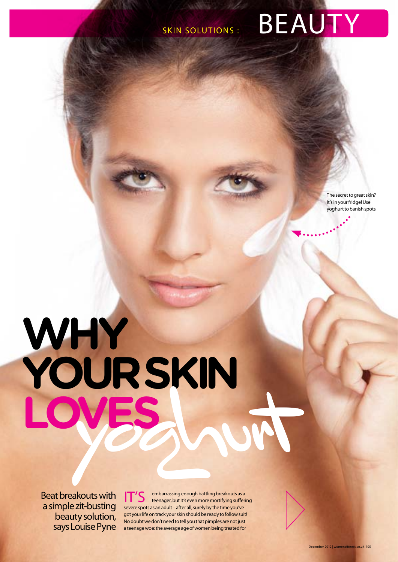**CONTRACTOR** 

# SKIN SOLUTIONS : BEAUTY

The secret to great skin? It's in your fridge! Use yoghurt to banish spots

# **why your skin loves** yoghurt

Beat breakouts with a simple zit-busting beauty solution, says Louise Pyne

IT'S embarrassing enough battling breakouts as a<br>IT'S teenager, but it's even more mortifying suffering severe spots as an adult – after all, surely by the time you've got your life on track your skin should be ready to follow suit! No doubt we don't need to tell you that pimples are not just a teenage woe: the average age of women being treated for